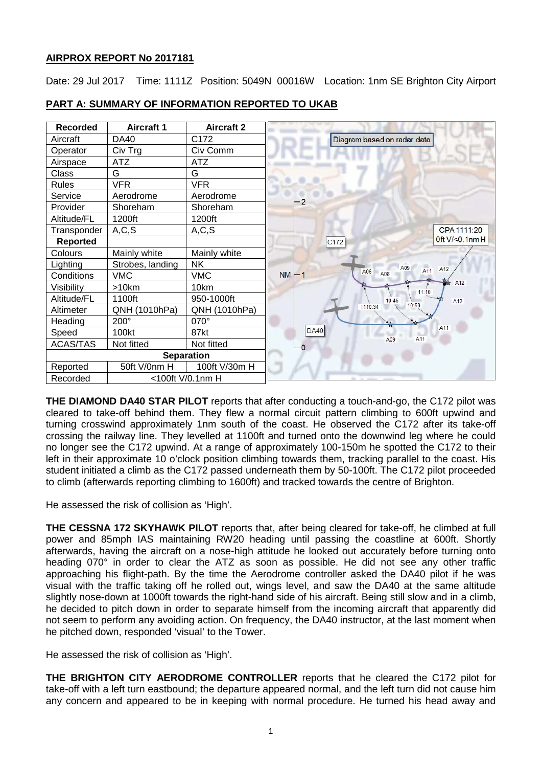# **AIRPROX REPORT No 2017181**

Date: 29 Jul 2017 Time: 1111Z Position: 5049N 00016W Location: 1nm SE Brighton City Airport



# **PART A: SUMMARY OF INFORMATION REPORTED TO UKAB**

**THE DIAMOND DA40 STAR PILOT** reports that after conducting a touch-and-go, the C172 pilot was cleared to take-off behind them. They flew a normal circuit pattern climbing to 600ft upwind and turning crosswind approximately 1nm south of the coast. He observed the C172 after its take-off crossing the railway line. They levelled at 1100ft and turned onto the downwind leg where he could no longer see the C172 upwind. At a range of approximately 100-150m he spotted the C172 to their left in their approximate 10 o'clock position climbing towards them, tracking parallel to the coast. His student initiated a climb as the C172 passed underneath them by 50-100ft. The C172 pilot proceeded to climb (afterwards reporting climbing to 1600ft) and tracked towards the centre of Brighton.

He assessed the risk of collision as 'High'.

**THE CESSNA 172 SKYHAWK PILOT** reports that, after being cleared for take-off, he climbed at full power and 85mph IAS maintaining RW20 heading until passing the coastline at 600ft. Shortly afterwards, having the aircraft on a nose-high attitude he looked out accurately before turning onto heading 070° in order to clear the ATZ as soon as possible. He did not see any other traffic approaching his flight-path. By the time the Aerodrome controller asked the DA40 pilot if he was visual with the traffic taking off he rolled out, wings level, and saw the DA40 at the same altitude slightly nose-down at 1000ft towards the right-hand side of his aircraft. Being still slow and in a climb, he decided to pitch down in order to separate himself from the incoming aircraft that apparently did not seem to perform any avoiding action. On frequency, the DA40 instructor, at the last moment when he pitched down, responded 'visual' to the Tower.

He assessed the risk of collision as 'High'.

**THE BRIGHTON CITY AERODROME CONTROLLER** reports that he cleared the C172 pilot for take-off with a left turn eastbound; the departure appeared normal, and the left turn did not cause him any concern and appeared to be in keeping with normal procedure. He turned his head away and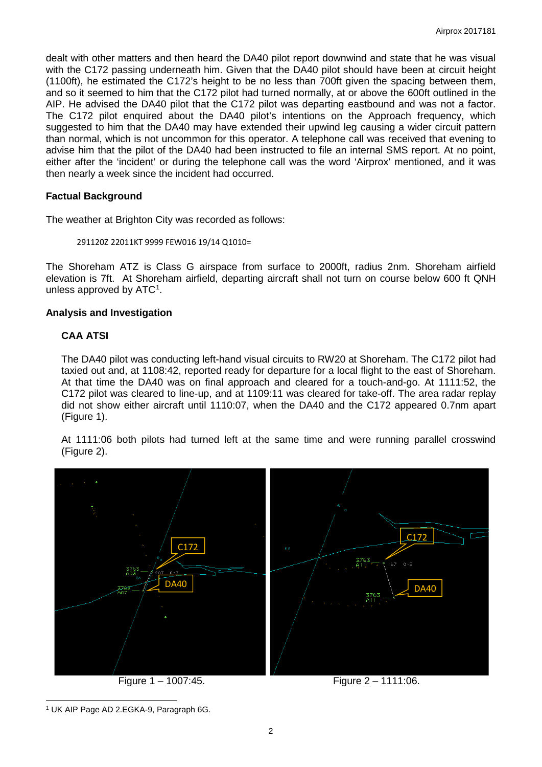dealt with other matters and then heard the DA40 pilot report downwind and state that he was visual with the C172 passing underneath him. Given that the DA40 pilot should have been at circuit height (1100ft), he estimated the C172's height to be no less than 700ft given the spacing between them, and so it seemed to him that the C172 pilot had turned normally, at or above the 600ft outlined in the AIP. He advised the DA40 pilot that the C172 pilot was departing eastbound and was not a factor. The C172 pilot enquired about the DA40 pilot's intentions on the Approach frequency, which suggested to him that the DA40 may have extended their upwind leg causing a wider circuit pattern than normal, which is not uncommon for this operator. A telephone call was received that evening to advise him that the pilot of the DA40 had been instructed to file an internal SMS report. At no point, either after the 'incident' or during the telephone call was the word 'Airprox' mentioned, and it was then nearly a week since the incident had occurred.

#### **Factual Background**

The weather at Brighton City was recorded as follows:

#### 291120Z 22011KT 9999 FEW016 19/14 Q1010=

The Shoreham ATZ is Class G airspace from surface to 2000ft, radius 2nm. Shoreham airfield elevation is 7ft. At Shoreham airfield, departing aircraft shall not turn on course below 600 ft QNH unless approved by  $ATC<sup>1</sup>$ .

#### **Analysis and Investigation**

# **CAA ATSI**

The DA40 pilot was conducting left-hand visual circuits to RW20 at Shoreham. The C172 pilot had taxied out and, at 1108:42, reported ready for departure for a local flight to the east of Shoreham. At that time the DA40 was on final approach and cleared for a touch-and-go. At 1111:52, the C172 pilot was cleared to line-up, and at 1109:11 was cleared for take-off. The area radar replay did not show either aircraft until 1110:07, when the DA40 and the C172 appeared 0.7nm apart (Figure 1).

At 1111:06 both pilots had turned left at the same time and were running parallel crosswind (Figure 2).



 $\overline{\phantom{a}}$ 

<span id="page-1-0"></span><sup>1</sup> UK AIP Page AD 2.EGKA-9, Paragraph 6G.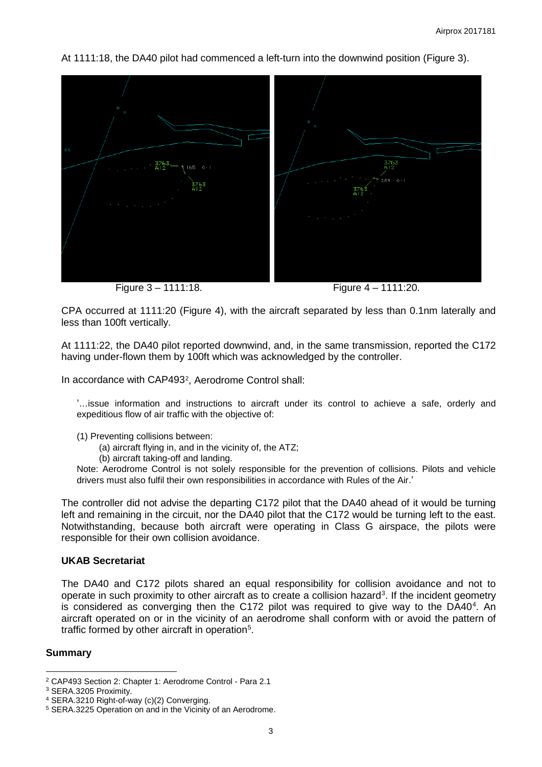At 1111:18, the DA40 pilot had commenced a left-turn into the downwind position (Figure 3).



Figure 3 – 1111:18. Figure 4 – 1111:20.

CPA occurred at 1111:20 (Figure 4), with the aircraft separated by less than 0.1nm laterally and less than 100ft vertically.

At 1111:22, the DA40 pilot reported downwind, and, in the same transmission, reported the C172 having under-flown them by 100ft which was acknowledged by the controller.

In accordance with CAP493<sup>[2](#page-2-0)</sup>, Aerodrome Control shall:

'…issue information and instructions to aircraft under its control to achieve a safe, orderly and expeditious flow of air traffic with the objective of:

- (1) Preventing collisions between:
	- (a) aircraft flying in, and in the vicinity of, the ATZ;
	- (b) aircraft taking-off and landing.

Note: Aerodrome Control is not solely responsible for the prevention of collisions. Pilots and vehicle drivers must also fulfil their own responsibilities in accordance with Rules of the Air.'

The controller did not advise the departing C172 pilot that the DA40 ahead of it would be turning left and remaining in the circuit, nor the DA40 pilot that the C172 would be turning left to the east. Notwithstanding, because both aircraft were operating in Class G airspace, the pilots were responsible for their own collision avoidance.

# **UKAB Secretariat**

The DA40 and C172 pilots shared an equal responsibility for collision avoidance and not to operate in such proximity to other aircraft as to create a collision hazard<sup>[3](#page-2-1)</sup>. If the incident geometry is considered as converging then the C172 pilot was required to give way to the DA[4](#page-2-2)0 $4$ . An aircraft operated on or in the vicinity of an aerodrome shall conform with or avoid the pattern of traffic formed by other aircraft in operation<sup>[5](#page-2-3)</sup>.

# **Summary**

 $\overline{\phantom{a}}$ <sup>2</sup> CAP493 Section 2: Chapter 1: Aerodrome Control - Para 2.1

<span id="page-2-1"></span><span id="page-2-0"></span><sup>3</sup> SERA.3205 Proximity.

<span id="page-2-2"></span><sup>4</sup> SERA.3210 Right-of-way (c)(2) Converging.

<span id="page-2-3"></span><sup>5</sup> SERA.3225 Operation on and in the Vicinity of an Aerodrome.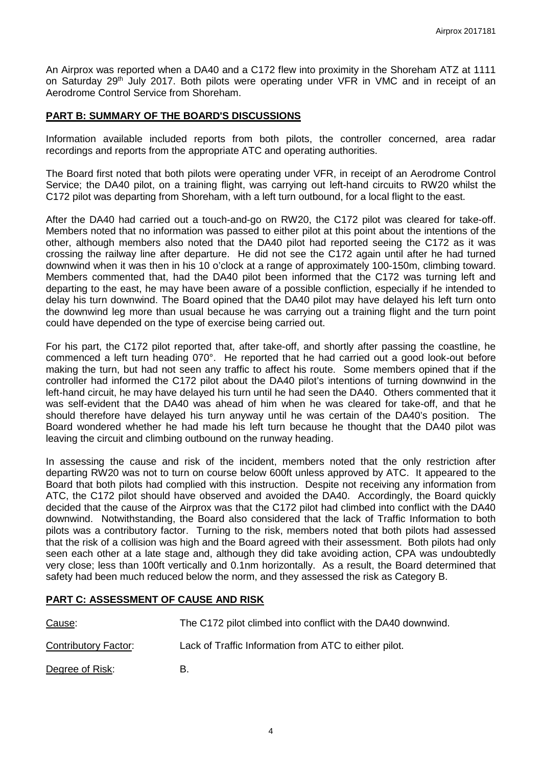An Airprox was reported when a DA40 and a C172 flew into proximity in the Shoreham ATZ at 1111 on Saturday 29<sup>th</sup> July 2017. Both pilots were operating under VFR in VMC and in receipt of an Aerodrome Control Service from Shoreham.

### **PART B: SUMMARY OF THE BOARD'S DISCUSSIONS**

Information available included reports from both pilots, the controller concerned, area radar recordings and reports from the appropriate ATC and operating authorities.

The Board first noted that both pilots were operating under VFR, in receipt of an Aerodrome Control Service; the DA40 pilot, on a training flight, was carrying out left-hand circuits to RW20 whilst the C172 pilot was departing from Shoreham, with a left turn outbound, for a local flight to the east.

After the DA40 had carried out a touch-and-go on RW20, the C172 pilot was cleared for take-off. Members noted that no information was passed to either pilot at this point about the intentions of the other, although members also noted that the DA40 pilot had reported seeing the C172 as it was crossing the railway line after departure. He did not see the C172 again until after he had turned downwind when it was then in his 10 o'clock at a range of approximately 100-150m, climbing toward. Members commented that, had the DA40 pilot been informed that the C172 was turning left and departing to the east, he may have been aware of a possible confliction, especially if he intended to delay his turn downwind. The Board opined that the DA40 pilot may have delayed his left turn onto the downwind leg more than usual because he was carrying out a training flight and the turn point could have depended on the type of exercise being carried out.

For his part, the C172 pilot reported that, after take-off, and shortly after passing the coastline, he commenced a left turn heading 070°. He reported that he had carried out a good look-out before making the turn, but had not seen any traffic to affect his route. Some members opined that if the controller had informed the C172 pilot about the DA40 pilot's intentions of turning downwind in the left-hand circuit, he may have delayed his turn until he had seen the DA40. Others commented that it was self-evident that the DA40 was ahead of him when he was cleared for take-off, and that he should therefore have delayed his turn anyway until he was certain of the DA40's position. The Board wondered whether he had made his left turn because he thought that the DA40 pilot was leaving the circuit and climbing outbound on the runway heading.

In assessing the cause and risk of the incident, members noted that the only restriction after departing RW20 was not to turn on course below 600ft unless approved by ATC. It appeared to the Board that both pilots had complied with this instruction. Despite not receiving any information from ATC, the C172 pilot should have observed and avoided the DA40. Accordingly, the Board quickly decided that the cause of the Airprox was that the C172 pilot had climbed into conflict with the DA40 downwind. Notwithstanding, the Board also considered that the lack of Traffic Information to both pilots was a contributory factor. Turning to the risk, members noted that both pilots had assessed that the risk of a collision was high and the Board agreed with their assessment. Both pilots had only seen each other at a late stage and, although they did take avoiding action, CPA was undoubtedly very close; less than 100ft vertically and 0.1nm horizontally. As a result, the Board determined that safety had been much reduced below the norm, and they assessed the risk as Category B.

# **PART C: ASSESSMENT OF CAUSE AND RISK**

| Cause:               | The C172 pilot climbed into conflict with the DA40 downwind. |
|----------------------|--------------------------------------------------------------|
| Contributory Factor: | Lack of Traffic Information from ATC to either pilot.        |
| Degree of Risk:      | R.                                                           |